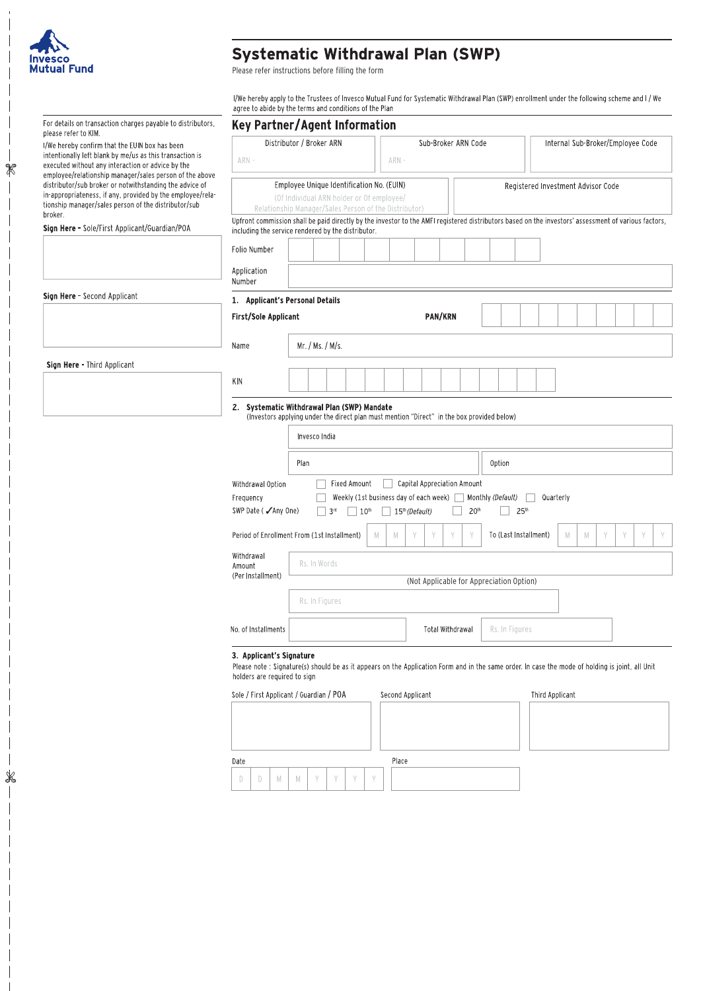

 $\overline{\phantom{a}}$  $\overline{\phantom{a}}$  $\overline{\phantom{a}}$  $\overline{\phantom{a}}$  $\mathscr{R}$ 

 $\overline{\phantom{a}}$  $\frac{1}{\sqrt{2}}$ 

 $\overline{\phantom{a}}$ 

## Systematic Withdrawal Plan (SWP)<br>Please refer instructions before filling the form

I/We hereby apply to the Trustees of Invesco Mutual Fund for Systematic Withdrawal Plan (SWP) enrollment under the following scheme and I / We<br>agree to abide by the terms and conditions of the Plan

| For details on transaction charges payable to distributors,<br>please refer to KIM.                                                                                                                                                       | <b>Key Partner/Agent Information</b>                                                                                                                                                                                                                                                                                                                                                                |                                                                                                                                                                                                                                             |  |  |  |  |
|-------------------------------------------------------------------------------------------------------------------------------------------------------------------------------------------------------------------------------------------|-----------------------------------------------------------------------------------------------------------------------------------------------------------------------------------------------------------------------------------------------------------------------------------------------------------------------------------------------------------------------------------------------------|---------------------------------------------------------------------------------------------------------------------------------------------------------------------------------------------------------------------------------------------|--|--|--|--|
| I/We hereby confirm that the EUIN box has been<br>intentionally left blank by me/us as this transaction is<br>executed without any interaction or advice by the<br>employee/relationship manager/sales person of the above                | ARN -                                                                                                                                                                                                                                                                                                                                                                                               | Distributor / Broker ARN<br>Sub-Broker ARN Code<br>Internal Sub-Broker/Employee Code<br>ARN -                                                                                                                                               |  |  |  |  |
| distributor/sub broker or notwithstanding the advice of<br>in-appropriateness, if any, provided by the employee/rela-<br>tionship manager/sales person of the distributor/sub<br>broker.<br>Sign Here - Sole/First Applicant/Guardian/POA | Employee Unique Identification No. (EUIN)<br>Registered Investment Advisor Code<br>(Of Individual ARN holder or Of employee/<br>Relationship Manager/Sales Person of the Distributor)<br>Upfront commission shall be paid directly by the investor to the AMFI registered distributors based on the investors' assessment of various factors,<br>including the service rendered by the distributor. |                                                                                                                                                                                                                                             |  |  |  |  |
|                                                                                                                                                                                                                                           | Folio Number                                                                                                                                                                                                                                                                                                                                                                                        |                                                                                                                                                                                                                                             |  |  |  |  |
|                                                                                                                                                                                                                                           | Application<br>Number                                                                                                                                                                                                                                                                                                                                                                               |                                                                                                                                                                                                                                             |  |  |  |  |
| Sign Here - Second Applicant                                                                                                                                                                                                              | 1. Applicant's Personal Details                                                                                                                                                                                                                                                                                                                                                                     |                                                                                                                                                                                                                                             |  |  |  |  |
|                                                                                                                                                                                                                                           | <b>First/Sole Applicant</b>                                                                                                                                                                                                                                                                                                                                                                         | <b>PAN/KRN</b>                                                                                                                                                                                                                              |  |  |  |  |
|                                                                                                                                                                                                                                           | Name                                                                                                                                                                                                                                                                                                                                                                                                | Mr. / Ms. / M/s.                                                                                                                                                                                                                            |  |  |  |  |
| Sign Here - Third Applicant                                                                                                                                                                                                               |                                                                                                                                                                                                                                                                                                                                                                                                     |                                                                                                                                                                                                                                             |  |  |  |  |
|                                                                                                                                                                                                                                           | ΚN                                                                                                                                                                                                                                                                                                                                                                                                  |                                                                                                                                                                                                                                             |  |  |  |  |
|                                                                                                                                                                                                                                           | 2. Systematic Withdrawal Plan (SWP) Mandate<br>(Investors applying under the direct plan must mention "Direct" in the box provided below)                                                                                                                                                                                                                                                           |                                                                                                                                                                                                                                             |  |  |  |  |
|                                                                                                                                                                                                                                           | Invesco India                                                                                                                                                                                                                                                                                                                                                                                       |                                                                                                                                                                                                                                             |  |  |  |  |
|                                                                                                                                                                                                                                           |                                                                                                                                                                                                                                                                                                                                                                                                     | <b>Option</b><br>Plan                                                                                                                                                                                                                       |  |  |  |  |
|                                                                                                                                                                                                                                           | Withdrawal Option<br>Frequency<br>SWP Date ( ∕Any One)                                                                                                                                                                                                                                                                                                                                              | Capital Appreciation Amount<br>Fixed Amount<br>Weekly (1st business day of each week) $\Box$<br>Monthly (Default)<br>Quarterly<br>15 <sup>th</sup> (Default)<br>20 <sup>th</sup><br>25 <sup>th</sup><br>3 <sup>rd</sup><br>10 <sup>th</sup> |  |  |  |  |
|                                                                                                                                                                                                                                           |                                                                                                                                                                                                                                                                                                                                                                                                     | To (Last Installment)<br>Period of Enrollment From (1st Installment)<br>M<br>M<br>M<br>Y<br>M                                                                                                                                               |  |  |  |  |
|                                                                                                                                                                                                                                           | Withdrawal<br>Amount                                                                                                                                                                                                                                                                                                                                                                                | Rs. In Words                                                                                                                                                                                                                                |  |  |  |  |
|                                                                                                                                                                                                                                           | (Per Installment)                                                                                                                                                                                                                                                                                                                                                                                   | (Not Applicable for Appreciation Option)                                                                                                                                                                                                    |  |  |  |  |
|                                                                                                                                                                                                                                           |                                                                                                                                                                                                                                                                                                                                                                                                     | Rs. In Figures                                                                                                                                                                                                                              |  |  |  |  |
|                                                                                                                                                                                                                                           | No. of Installments                                                                                                                                                                                                                                                                                                                                                                                 | Rs. In Figures<br>Total Withdrawal                                                                                                                                                                                                          |  |  |  |  |
|                                                                                                                                                                                                                                           | 3. Applicant's Signature<br>Please note : Signature(s) should be as it appears on the Application Form and in the same order. In case the mode of holding is joint, all Unit<br>holders are required to sign                                                                                                                                                                                        |                                                                                                                                                                                                                                             |  |  |  |  |
|                                                                                                                                                                                                                                           |                                                                                                                                                                                                                                                                                                                                                                                                     | Sole / First Applicant / Guardian / POA<br>Second Applicant<br><b>Third Applicant</b>                                                                                                                                                       |  |  |  |  |
|                                                                                                                                                                                                                                           |                                                                                                                                                                                                                                                                                                                                                                                                     |                                                                                                                                                                                                                                             |  |  |  |  |
|                                                                                                                                                                                                                                           | Place<br>Date                                                                                                                                                                                                                                                                                                                                                                                       |                                                                                                                                                                                                                                             |  |  |  |  |
|                                                                                                                                                                                                                                           | M<br>D<br>D                                                                                                                                                                                                                                                                                                                                                                                         | Y<br>Y<br>M<br>Y<br>Y                                                                                                                                                                                                                       |  |  |  |  |